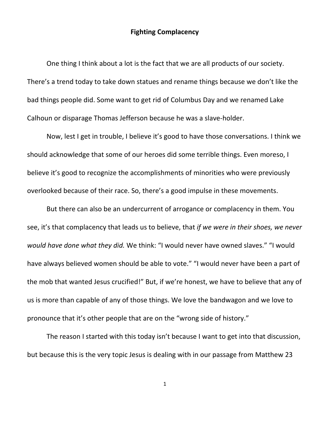## **Fighting Complacency**

One thing I think about a lot is the fact that we are all products of our society. There's a trend today to take down statues and rename things because we don't like the bad things people did. Some want to get rid of Columbus Day and we renamed Lake Calhoun or disparage Thomas Jefferson because he was a slave-holder.

Now, lest I get in trouble, I believe it's good to have those conversations. I think we should acknowledge that some of our heroes did some terrible things. Even moreso, I believe it's good to recognize the accomplishments of minorities who were previously overlooked because of their race. So, there's a good impulse in these movements.

But there can also be an undercurrent of arrogance or complacency in them. You see, it's that complacency that leads us to believe, that *if we were in their shoes, we never would have done what they did.* We think: "I would never have owned slaves." "I would have always believed women should be able to vote." "I would never have been a part of the mob that wanted Jesus crucified!" But, if we're honest, we have to believe that any of us is more than capable of any of those things. We love the bandwagon and we love to pronounce that it's other people that are on the "wrong side of history."

The reason I started with this today isn't because I want to get into that discussion, but because this is the very topic Jesus is dealing with in our passage from Matthew 23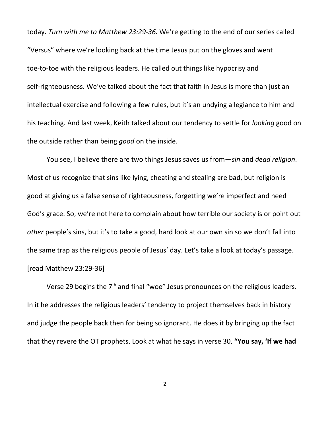today. *Turn with me to Matthew 23:29-36.* We're getting to the end of our series called "Versus" where we're looking back at the time Jesus put on the gloves and went toe-to-toe with the religious leaders. He called out things like hypocrisy and self-righteousness. We've talked about the fact that faith in Jesus is more than just an intellectual exercise and following a few rules, but it's an undying allegiance to him and his teaching. And last week, Keith talked about our tendency to settle for *looking* good on the outside rather than being *good* on the inside.

You see, I believe there are two things Jesus saves us from—*sin* and *dead religion*. Most of us recognize that sins like lying, cheating and stealing are bad, but religion is good at giving us a false sense of righteousness, forgetting we're imperfect and need God's grace. So, we're not here to complain about how terrible our society is or point out *other* people's sins, but it's to take a good, hard look at our own sin so we don't fall into the same trap as the religious people of Jesus' day. Let's take a look at today's passage. [read Matthew 23:29-36]

Verse 29 begins the  $7<sup>th</sup>$  and final "woe" Jesus pronounces on the religious leaders. In it he addresses the religious leaders' tendency to project themselves back in history and judge the people back then for being so ignorant. He does it by bringing up the fact that they revere the OT prophets. Look at what he says in verse 30, **"You say, 'If we had**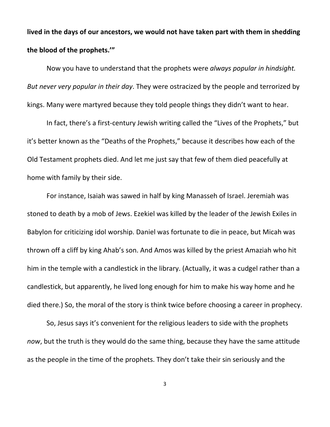**lived in the days of our ancestors, we would not have taken part with them in shedding the blood of the prophets.'"**

Now you have to understand that the prophets were *always popular in hindsight. But never very popular in their day*. They were ostracized by the people and terrorized by kings. Many were martyred because they told people things they didn't want to hear.

In fact, there's a first-century Jewish writing called the "Lives of the Prophets," but it's better known as the "Deaths of the Prophets," because it describes how each of the Old Testament prophets died. And let me just say that few of them died peacefully at home with family by their side.

For instance, Isaiah was sawed in half by king Manasseh of Israel. Jeremiah was stoned to death by a mob of Jews. Ezekiel was killed by the leader of the Jewish Exiles in Babylon for criticizing idol worship. Daniel was fortunate to die in peace, but Micah was thrown off a cliff by king Ahab's son. And Amos was killed by the priest Amaziah who hit him in the temple with a candlestick in the library. (Actually, it was a cudgel rather than a candlestick, but apparently, he lived long enough for him to make his way home and he died there.) So, the moral of the story is think twice before choosing a career in prophecy.

So, Jesus says it's convenient for the religious leaders to side with the prophets *now*, but the truth is they would do the same thing, because they have the same attitude as the people in the time of the prophets. They don't take their sin seriously and the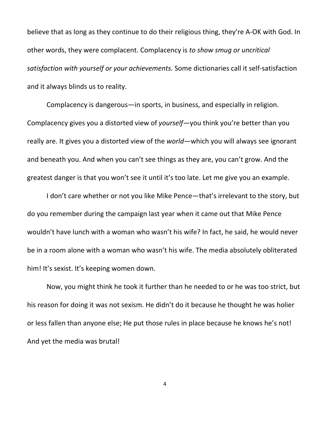believe that as long as they continue to do their religious thing, they're A-OK with God. In other words, they were complacent. Complacency is *to show smug or uncritical satisfaction with yourself or your achievements.* Some dictionaries call it self-satisfaction and it always blinds us to reality.

Complacency is dangerous—in sports, in business, and especially in religion. Complacency gives you a distorted view of *yourself*—you think you're better than you really are. It gives you a distorted view of the *world*—which you will always see ignorant and beneath you. And when you can't see things as they are, you can't grow. And the greatest danger is that you won't see it until it's too late. Let me give you an example.

I don't care whether or not you like Mike Pence—that's irrelevant to the story, but do you remember during the campaign last year when it came out that Mike Pence wouldn't have lunch with a woman who wasn't his wife? In fact, he said, he would never be in a room alone with a woman who wasn't his wife. The media absolutely obliterated him! It's sexist. It's keeping women down.

Now, you might think he took it further than he needed to or he was too strict, but his reason for doing it was not sexism. He didn't do it because he thought he was holier or less fallen than anyone else; He put those rules in place because he knows he's not! And yet the media was brutal!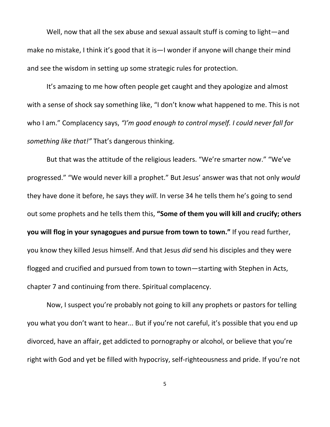Well, now that all the sex abuse and sexual assault stuff is coming to light—and make no mistake, I think it's good that it is—I wonder if anyone will change their mind and see the wisdom in setting up some strategic rules for protection.

It's amazing to me how often people get caught and they apologize and almost with a sense of shock say something like, "I don't know what happened to me. This is not who I am." Complacency says, *"I'm good enough to control myself. I could never fall for something like that!"* That's dangerous thinking.

But that was the attitude of the religious leaders. "We're smarter now." "We've progressed." "We would never kill a prophet." But Jesus' answer was that not only *would* they have done it before, he says they *will*. In verse 34 he tells them he's going to send out some prophets and he tells them this, **"Some of them you will kill and crucify; others you will flog in your synagogues and pursue from town to town."** I f you read further, you know they killed Jesus himself. And that Jesus *did* send his disciples and they were flogged and crucified and pursued from town to town—starting with Stephen in Acts, chapter 7 and continuing from there. Spiritual complacency.

Now, I suspect you're probably not going to kill any prophets or pastors for telling you what you don't want to hear... But if you're not careful, it's possible that you end up divorced, have an affair, get addicted to pornography or alcohol, or believe that you're right with God and yet be filled with hypocrisy, self-righteousness and pride. If you're not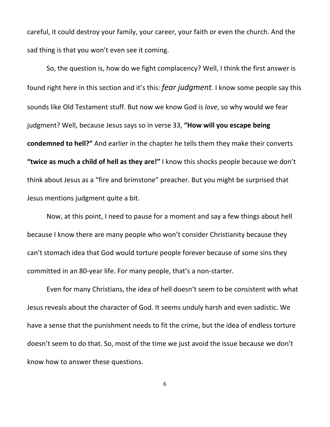careful, it could destroy your family, your career, your faith or even the church. And the sad thing is that you won't even see it coming.

So, the question is, how do we fight complacency? Well, I think the first answer is found right here in this section and it's this: *fear judgment.* I know some people say this sounds like Old Testament stuff. But now we know God is *love*, so why would we fear judgment? Well, because Jesus says so in verse 33, **"How will you escape being condemned to hell?"** And earlier in the chapter he tells them they make their converts **"twice as much a child of hell as they are!"** I know this shocks people because we don't think about Jesus as a "fire and brimstone" preacher. But you might be surprised that Jesus mentions judgment quite a bit.

Now, at this point, I need to pause for a moment and say a few things about hell because I know there are many people who won't consider Christianity because they can't stomach idea that God would torture people forever because of some sins they committed in an 80-year life. For many people, that's a non-starter.

Even for many Christians, the idea of hell doesn't seem to be consistent with what Jesus reveals about the character of God. It seems unduly harsh and even sadistic. We have a sense that the punishment needs to fit the crime, but the idea of endless torture doesn't seem to do that. So, most of the time we just avoid the issue because we don't know how to answer these questions.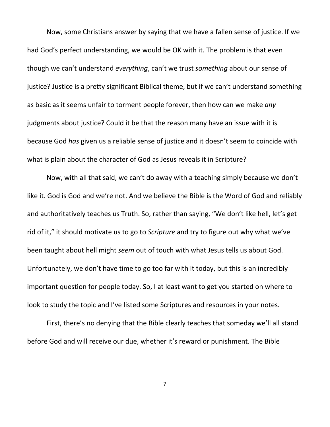Now, some Christians answer by saying that we have a fallen sense of justice. If we had God's perfect understanding, we would be OK with it. The problem is that even though we can't understand *everything*, can't we trust *something* about our sense of justice? Justice is a pretty significant Biblical theme, but if we can't understand something as basic as it seems unfair to torment people forever, then how can we make *any* judgments about justice? Could it be that the reason many have an issue with it is because God *has* given us a reliable sense of justice and it doesn't seem to coincide with what is plain about the character of God as Jesus reveals it in Scripture?

Now, with all that said, we can't do away with a teaching simply because we don't like it. God is God and we're not. And we believe the Bible is the Word of God and reliably and authoritatively teaches us Truth. So, rather than saying, "We don't like hell, let's get rid of it," it should motivate us to go to *Scripture* and try to figure out why what we've been taught about hell might *seem* out of touch with what Jesus tells us about God. Unfortunately, we don't have time to go too far with it today, but this is an incredibly important question for people today. So, I at least want to get you started on where to look to study the topic and I've listed some Scriptures and resources in your notes.

First, there's no denying that the Bible clearly teaches that someday we'll all stand before God and will receive our due, whether it's reward or punishment. The Bible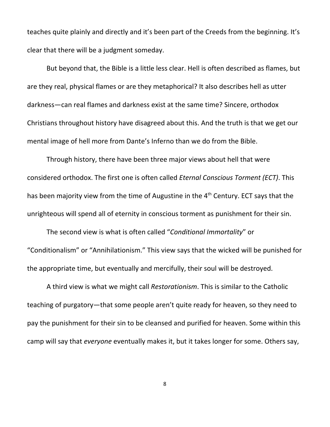teaches quite plainly and directly and it's been part of the Creeds from the beginning. It's clear that there will be a judgment someday.

But beyond that, the Bible is a little less clear. Hell is often described as flames, but are they real, physical flames or are they metaphorical? It also describes hell as utter darkness—can real flames and darkness exist at the same time? Sincere, orthodox Christians throughout history have disagreed about this. And the truth is that we get our mental image of hell more from Dante's Inferno than we do from the Bible.

Through history, there have been three major views about hell that were considered orthodox. The first one is often called *Eternal Conscious Torment (ECT)*. This has been majority view from the time of Augustine in the 4<sup>th</sup> Century. ECT says that the unrighteous will spend all of eternity in conscious torment as punishment for their sin.

The second view is what is often called "*Conditional Immortality*" or "Conditionalism" or "Annihilationism." This view says that the wicked will be punished for the appropriate time, but eventually and mercifully, their soul will be destroyed.

A third view is what we might call *Restorationism*. This is similar to the Catholic teaching of purgatory—that some people aren't quite ready for heaven, so they need to pay the punishment for their sin to be cleansed and purified for heaven. Some within this camp will say that *everyone* eventually makes it, but it takes longer for some. Others say,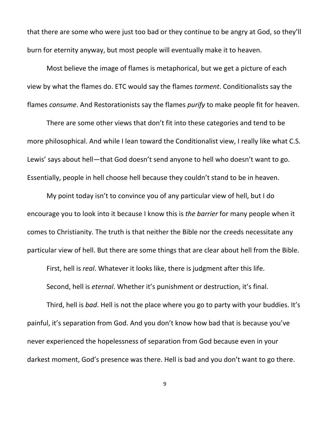that there are some who were just too bad or they continue to be angry at God, so they'll burn for eternity anyway, but most people will eventually make it to heaven.

Most believe the image of flames is metaphorical, but we get a picture of each view by what the flames do. ETC would say the flames *torment*. Conditionalists say the flames *consume*. And Restorationists say the flames *purify* to make people fit for heaven.

There are some other views that don't fit into these categories and tend to be more philosophical. And while I lean toward the Conditionalist view, I really like what C.S. Lewis' says about hell—that God doesn't send anyone to hell who doesn't want to go. Essentially, people in hell choose hell because they couldn't stand to be in heaven.

My point today isn't to convince you of any particular view of hell, but I do encourage you to look into it because I know this is *the barrier* for many people when it comes to Christianity. The truth is that neither the Bible nor the creeds necessitate any particular view of hell. But there are some things that are clear about hell from the Bible.

First, hell is *real*. Whatever it looks like, there is judgment after this life.

Second, hell is *eternal*. Whether it's punishment or destruction, it's final.

Third, hell is *bad*. Hell is not the place where you go to party with your buddies. It's painful, it's separation from God. And you don't know how bad that is because you've never experienced the hopelessness of separation from God because even in your darkest moment, God's presence was there. Hell is bad and you don't want to go there.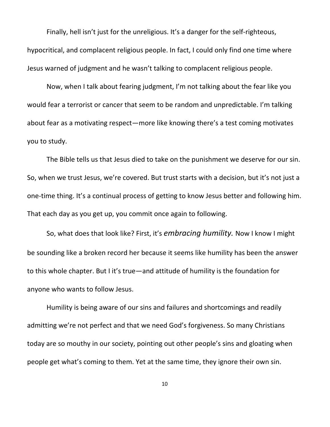Finally, hell isn't just for the unreligious. It's a danger for the self-righteous, hypocritical, and complacent religious people. In fact, I could only find one time where Jesus warned of judgment and he wasn't talking to complacent religious people.

Now, when I talk about fearing judgment, I'm not talking about the fear like you would fear a terrorist or cancer that seem to be random and unpredictable. I'm talking about fear as a motivating respect—more like knowing there's a test coming motivates you to study.

The Bible tells us that Jesus died to take on the punishment we deserve for our sin. So, when we trust Jesus, we're covered. But trust starts with a decision, but it's not just a one-time thing. It's a continual process of getting to know Jesus better and following him. That each day as you get up, you commit once again to following.

So, what does that look like? First, it's *embracing humility.* Now I know I might be sounding like a broken record her because it seems like humility has been the answer to this whole chapter. But I it's true—and attitude of humility is the foundation for anyone who wants to follow Jesus.

Humility is being aware of our sins and failures and shortcomings and readily admitting we're not perfect and that we need God's forgiveness. So many Christians today are so mouthy in our society, pointing out other people's sins and gloating when people get what's coming to them. Yet at the same time, they ignore their own sin.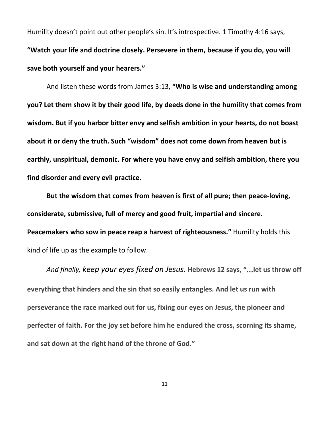Humility doesn't point out other people's sin. It's introspective. 1 Timothy 4:16 says, **"Watch your life and doctrine closely. Persevere in them, because if you do, you will save both yourself and your hearers."**

And listen these words from James 3:13, **"Who is wise and understanding among you? Let them show it by their good life, by deeds done in the humility that comes from wisdom. But if you harbor bitter envy and selfish ambition in your hearts, do not boast about it or deny the truth. Such "wisdom" does not come down from heaven but is earthly, unspiritual, demonic. For where you have envy and selfish ambition, there you find disorder and every evil practice.**

**But the wisdom that comes from heaven is first of all pure; then peace-loving, considerate, submissive, full of mercy and good fruit, impartial and sincere. Peacemakers who sow in peace reap a harvest of righteousness." Humility holds this** kind of life up as the example to follow.

*And finally, keep your eyes fixed on Jesus.* **Hebrews 12 says, "**…**let us throw off everything that hinders and the sin that so easily entangles. And let us run with perseverance the race marked out for us, fixing our eyes on Jesus, the pioneer and perfecter of faith. For the joy set before him he endured the cross, scorning its shame, and sat down at the right hand of the throne of God."**